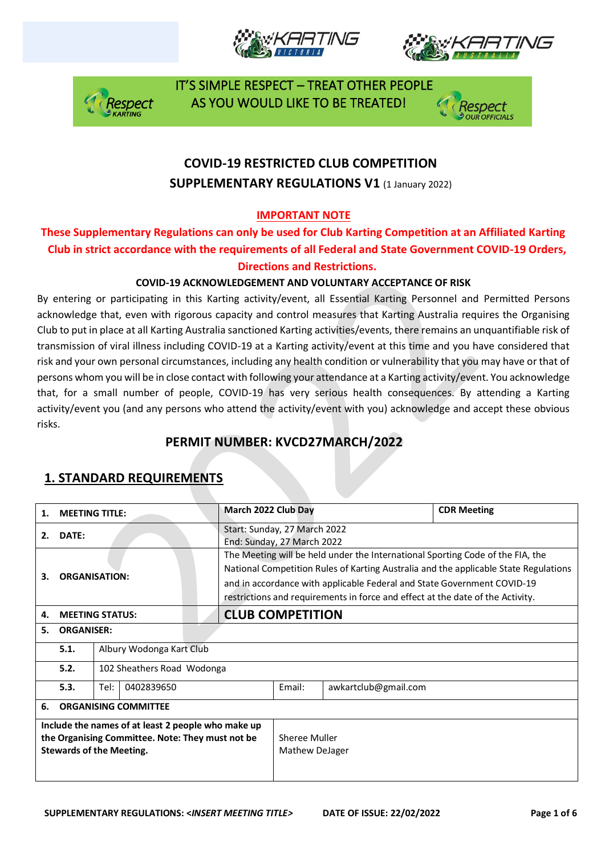







### **COVID-19 RESTRICTED CLUB COMPETITION SUPPLEMENTARY REGULATIONS V1 (1 January 2022)**

### **IMPORTANT NOTE**

### **These Supplementary Regulations can only be used for Club Karting Competition at an Affiliated Karting Club in strict accordance with the requirements of all Federal and State Government COVID-19 Orders, Directions and Restrictions.**

#### **COVID-19 ACKNOWLEDGEMENT AND VOLUNTARY ACCEPTANCE OF RISK**

By entering or participating in this Karting activity/event, all Essential Karting Personnel and Permitted Persons acknowledge that, even with rigorous capacity and control measures that Karting Australia requires the Organising Club to put in place at all Karting Australia sanctioned Karting activities/events, there remains an unquantifiable risk of transmission of viral illness including COVID-19 at a Karting activity/event at this time and you have considered that risk and your own personal circumstances, including any health condition or vulnerability that you may have or that of persons whom you will be in close contact with following your attendance at a Karting activity/event. You acknowledge that, for a small number of people, COVID-19 has very serious health consequences. By attending a Karting activity/event you (and any persons who attend the activity/event with you) acknowledge and accept these obvious risks.

### **PERMIT NUMBER: KVCD27MARCH/2022**

| 1.                                                                                                                                        | <b>MEETING TITLE:</b>       |                            | March 2022 Club Day     |                                                                                                                                                                                                                                                                                                                                     |                      | <b>CDR Meeting</b> |  |  |
|-------------------------------------------------------------------------------------------------------------------------------------------|-----------------------------|----------------------------|-------------------------|-------------------------------------------------------------------------------------------------------------------------------------------------------------------------------------------------------------------------------------------------------------------------------------------------------------------------------------|----------------------|--------------------|--|--|
| 2.                                                                                                                                        | DATE:                       |                            |                         | Start: Sunday, 27 March 2022<br>End: Sunday, 27 March 2022                                                                                                                                                                                                                                                                          |                      |                    |  |  |
| з.                                                                                                                                        | <b>ORGANISATION:</b>        |                            |                         | The Meeting will be held under the International Sporting Code of the FIA, the<br>National Competition Rules of Karting Australia and the applicable State Regulations<br>and in accordance with applicable Federal and State Government COVID-19<br>restrictions and requirements in force and effect at the date of the Activity. |                      |                    |  |  |
| 4.                                                                                                                                        | <b>MEETING STATUS:</b>      |                            | <b>CLUB COMPETITION</b> |                                                                                                                                                                                                                                                                                                                                     |                      |                    |  |  |
| 5.                                                                                                                                        | <b>ORGANISER:</b>           |                            |                         |                                                                                                                                                                                                                                                                                                                                     |                      |                    |  |  |
|                                                                                                                                           | 5.1.                        | Albury Wodonga Kart Club   |                         |                                                                                                                                                                                                                                                                                                                                     |                      |                    |  |  |
|                                                                                                                                           | 5.2.                        | 102 Sheathers Road Wodonga |                         |                                                                                                                                                                                                                                                                                                                                     |                      |                    |  |  |
|                                                                                                                                           | 5.3.                        | Tel:<br>0402839650         |                         |                                                                                                                                                                                                                                                                                                                                     | awkartclub@gmail.com |                    |  |  |
| 6.                                                                                                                                        | <b>ORGANISING COMMITTEE</b> |                            |                         |                                                                                                                                                                                                                                                                                                                                     |                      |                    |  |  |
| Include the names of at least 2 people who make up<br>the Organising Committee. Note: They must not be<br><b>Stewards of the Meeting.</b> |                             |                            |                         | Sheree Muller<br>Mathew DeJager                                                                                                                                                                                                                                                                                                     |                      |                    |  |  |

### **1. STANDARD REQUIREMENTS**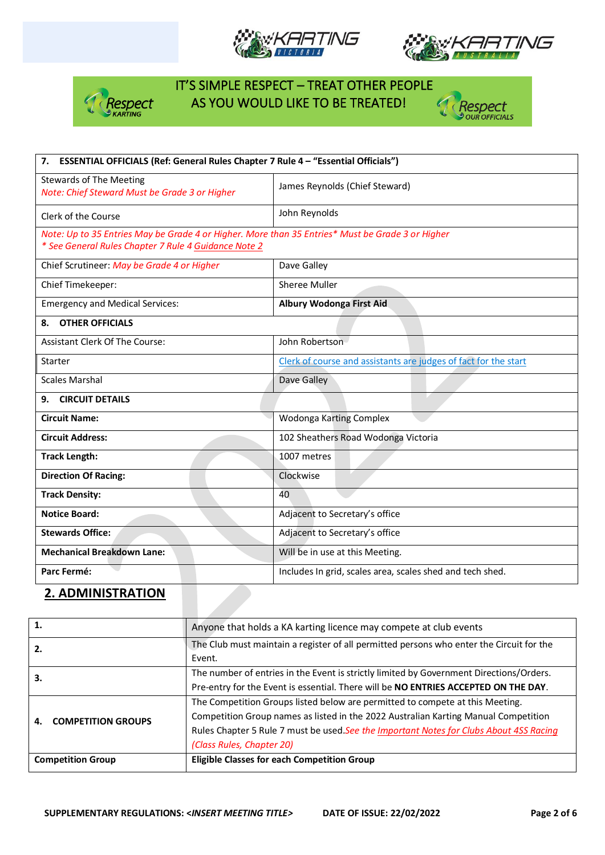







| ESSENTIAL OFFICIALS (Ref: General Rules Chapter 7 Rule 4 - "Essential Officials")<br>7.                                                                  |                                                                 |  |  |  |
|----------------------------------------------------------------------------------------------------------------------------------------------------------|-----------------------------------------------------------------|--|--|--|
| <b>Stewards of The Meeting</b><br>Note: Chief Steward Must be Grade 3 or Higher                                                                          | James Reynolds (Chief Steward)                                  |  |  |  |
| Clerk of the Course                                                                                                                                      | John Reynolds                                                   |  |  |  |
| Note: Up to 35 Entries May be Grade 4 or Higher. More than 35 Entries* Must be Grade 3 or Higher<br>* See General Rules Chapter 7 Rule 4 Guidance Note 2 |                                                                 |  |  |  |
| Chief Scrutineer: May be Grade 4 or Higher                                                                                                               | Dave Galley                                                     |  |  |  |
| Chief Timekeeper:                                                                                                                                        | Sheree Muller                                                   |  |  |  |
| <b>Emergency and Medical Services:</b>                                                                                                                   | Albury Wodonga First Aid                                        |  |  |  |
| <b>OTHER OFFICIALS</b><br>8.                                                                                                                             |                                                                 |  |  |  |
| <b>Assistant Clerk Of The Course:</b>                                                                                                                    | John Robertson                                                  |  |  |  |
| Starter                                                                                                                                                  | Clerk of course and assistants are judges of fact for the start |  |  |  |
| <b>Scales Marshal</b>                                                                                                                                    | Dave Galley                                                     |  |  |  |
| <b>CIRCUIT DETAILS</b><br>9.                                                                                                                             |                                                                 |  |  |  |
| <b>Circuit Name:</b>                                                                                                                                     | Wodonga Karting Complex                                         |  |  |  |
| <b>Circuit Address:</b>                                                                                                                                  | 102 Sheathers Road Wodonga Victoria                             |  |  |  |
| <b>Track Length:</b>                                                                                                                                     | 1007 metres                                                     |  |  |  |
| <b>Direction Of Racing:</b>                                                                                                                              | Clockwise                                                       |  |  |  |
| <b>Track Density:</b>                                                                                                                                    | 40                                                              |  |  |  |
| <b>Notice Board:</b>                                                                                                                                     | Adjacent to Secretary's office                                  |  |  |  |
| <b>Stewards Office:</b>                                                                                                                                  | Adjacent to Secretary's office                                  |  |  |  |
| <b>Mechanical Breakdown Lane:</b>                                                                                                                        | Will be in use at this Meeting.                                 |  |  |  |
| Parc Fermé:                                                                                                                                              | Includes In grid, scales area, scales shed and tech shed.       |  |  |  |

#### **2. ADMINISTRATION**

| 1.                        | Anyone that holds a KA karting licence may compete at club events                                                                                                                                                                                                                           |
|---------------------------|---------------------------------------------------------------------------------------------------------------------------------------------------------------------------------------------------------------------------------------------------------------------------------------------|
| 2.                        | The Club must maintain a register of all permitted persons who enter the Circuit for the<br>Event.                                                                                                                                                                                          |
| 3.                        | The number of entries in the Event is strictly limited by Government Directions/Orders.<br>Pre-entry for the Event is essential. There will be NO ENTRIES ACCEPTED ON THE DAY.                                                                                                              |
| <b>COMPETITION GROUPS</b> | The Competition Groups listed below are permitted to compete at this Meeting.<br>Competition Group names as listed in the 2022 Australian Karting Manual Competition<br>Rules Chapter 5 Rule 7 must be used.See the Important Notes for Clubs About 4SS Racing<br>(Class Rules, Chapter 20) |
| <b>Competition Group</b>  | <b>Eligible Classes for each Competition Group</b>                                                                                                                                                                                                                                          |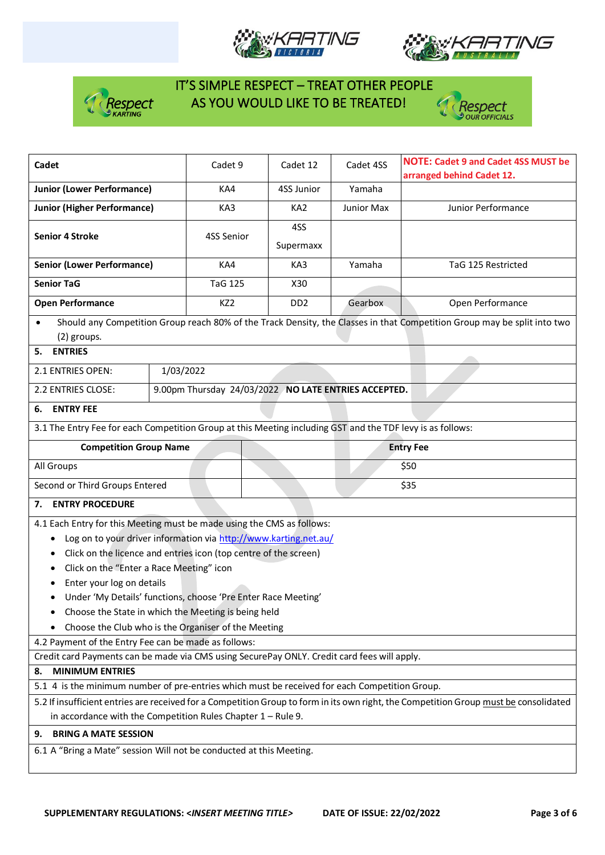







| Cadet                                                                                                      |                           | Cadet 9                                              | Cadet 12                    | Cadet 4SS                 | <b>NOTE: Cadet 9 and Cadet 4SS MUST be</b>                                                                                            |  |
|------------------------------------------------------------------------------------------------------------|---------------------------|------------------------------------------------------|-----------------------------|---------------------------|---------------------------------------------------------------------------------------------------------------------------------------|--|
| <b>Junior (Lower Performance)</b>                                                                          | KA4                       | 4SS Junior                                           | Yamaha                      | arranged behind Cadet 12. |                                                                                                                                       |  |
| <b>Junior (Higher Performance)</b>                                                                         | KA3                       | KA <sub>2</sub>                                      | Junior Max                  | Junior Performance        |                                                                                                                                       |  |
|                                                                                                            |                           |                                                      | 4SS                         |                           |                                                                                                                                       |  |
| <b>Senior 4 Stroke</b>                                                                                     |                           | 4SS Senior                                           | Supermaxx                   |                           |                                                                                                                                       |  |
|                                                                                                            |                           |                                                      |                             |                           |                                                                                                                                       |  |
| <b>Senior (Lower Performance)</b>                                                                          |                           | KA4                                                  | KA3                         | Yamaha                    | TaG 125 Restricted                                                                                                                    |  |
| <b>Senior TaG</b>                                                                                          |                           | <b>TaG 125</b>                                       | X30                         |                           |                                                                                                                                       |  |
| <b>Open Performance</b>                                                                                    |                           | KZ <sub>2</sub>                                      | D <sub>D</sub> <sub>2</sub> | Gearbox                   | Open Performance                                                                                                                      |  |
|                                                                                                            |                           |                                                      |                             |                           | Should any Competition Group reach 80% of the Track Density, the Classes in that Competition Group may be split into two              |  |
| (2) groups.                                                                                                |                           |                                                      |                             |                           |                                                                                                                                       |  |
| <b>ENTRIES</b><br>5.                                                                                       |                           |                                                      |                             |                           |                                                                                                                                       |  |
| 2.1 ENTRIES OPEN:                                                                                          | 1/03/2022                 |                                                      |                             |                           |                                                                                                                                       |  |
| 2.2 ENTRIES CLOSE:                                                                                         |                           | 9.00pm Thursday 24/03/2022 NO LATE ENTRIES ACCEPTED. |                             |                           |                                                                                                                                       |  |
| <b>ENTRY FEE</b><br>6.                                                                                     |                           |                                                      |                             |                           |                                                                                                                                       |  |
| 3.1 The Entry Fee for each Competition Group at this Meeting including GST and the TDF levy is as follows: |                           |                                                      |                             |                           |                                                                                                                                       |  |
| <b>Competition Group Name</b>                                                                              |                           |                                                      | <b>Entry Fee</b>            |                           |                                                                                                                                       |  |
| All Groups                                                                                                 |                           |                                                      |                             | \$50                      |                                                                                                                                       |  |
| Second or Third Groups Entered                                                                             |                           |                                                      |                             | \$35                      |                                                                                                                                       |  |
| <b>ENTRY PROCEDURE</b><br>7.                                                                               |                           |                                                      |                             |                           |                                                                                                                                       |  |
| 4.1 Each Entry for this Meeting must be made using the CMS as follows:                                     |                           |                                                      |                             |                           |                                                                                                                                       |  |
| Log on to your driver information via http://www.karting.net.au/                                           |                           |                                                      |                             |                           |                                                                                                                                       |  |
| Click on the licence and entries icon (top centre of the screen)                                           |                           |                                                      |                             |                           |                                                                                                                                       |  |
| Click on the "Enter a Race Meeting" icon<br>٠                                                              |                           |                                                      |                             |                           |                                                                                                                                       |  |
|                                                                                                            | Enter your log on details |                                                      |                             |                           |                                                                                                                                       |  |
| Under 'My Details' functions, choose 'Pre Enter Race Meeting'                                              |                           |                                                      |                             |                           |                                                                                                                                       |  |
|                                                                                                            |                           |                                                      |                             |                           |                                                                                                                                       |  |
| Choose the State in which the Meeting is being held                                                        |                           |                                                      |                             |                           |                                                                                                                                       |  |
| Choose the Club who is the Organiser of the Meeting                                                        |                           |                                                      |                             |                           |                                                                                                                                       |  |
| 4.2 Payment of the Entry Fee can be made as follows:                                                       |                           |                                                      |                             |                           |                                                                                                                                       |  |
| Credit card Payments can be made via CMS using SecurePay ONLY. Credit card fees will apply.                |                           |                                                      |                             |                           |                                                                                                                                       |  |
| <b>MINIMUM ENTRIES</b><br>8.                                                                               |                           |                                                      |                             |                           |                                                                                                                                       |  |
| 5.1 4 is the minimum number of pre-entries which must be received for each Competition Group.              |                           |                                                      |                             |                           |                                                                                                                                       |  |
|                                                                                                            |                           |                                                      |                             |                           | 5.2 If insufficient entries are received for a Competition Group to form in its own right, the Competition Group must be consolidated |  |
| in accordance with the Competition Rules Chapter $1 -$ Rule 9.                                             |                           |                                                      |                             |                           |                                                                                                                                       |  |
| <b>BRING A MATE SESSION</b><br>9.                                                                          |                           |                                                      |                             |                           |                                                                                                                                       |  |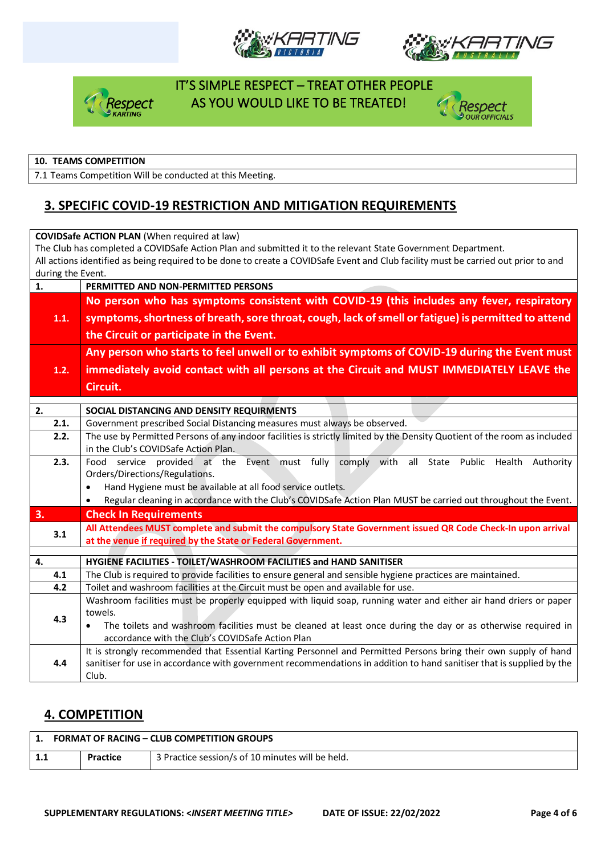







#### **10. TEAMS COMPETITION**

7.1 Teams Competition Will be conducted at this Meeting.

### **3. SPECIFIC COVID-19 RESTRICTION AND MITIGATION REQUIREMENTS**

| <b>COVIDSafe ACTION PLAN (When required at law)</b> |                                                                                                                                    |  |  |  |  |  |  |  |
|-----------------------------------------------------|------------------------------------------------------------------------------------------------------------------------------------|--|--|--|--|--|--|--|
|                                                     | The Club has completed a COVIDSafe Action Plan and submitted it to the relevant State Government Department.                       |  |  |  |  |  |  |  |
|                                                     | All actions identified as being required to be done to create a COVIDSafe Event and Club facility must be carried out prior to and |  |  |  |  |  |  |  |
|                                                     | during the Event.                                                                                                                  |  |  |  |  |  |  |  |
| 1.                                                  | PERMITTED AND NON-PERMITTED PERSONS                                                                                                |  |  |  |  |  |  |  |
|                                                     | No person who has symptoms consistent with COVID-19 (this includes any fever, respiratory                                          |  |  |  |  |  |  |  |
| 1.1.                                                | symptoms, shortness of breath, sore throat, cough, lack of smell or fatigue) is permitted to attend                                |  |  |  |  |  |  |  |
|                                                     | the Circuit or participate in the Event.                                                                                           |  |  |  |  |  |  |  |
|                                                     | Any person who starts to feel unwell or to exhibit symptoms of COVID-19 during the Event must                                      |  |  |  |  |  |  |  |
| 1.2.                                                | immediately avoid contact with all persons at the Circuit and MUST IMMEDIATELY LEAVE the                                           |  |  |  |  |  |  |  |
|                                                     | Circuit.                                                                                                                           |  |  |  |  |  |  |  |
|                                                     |                                                                                                                                    |  |  |  |  |  |  |  |
| 2.                                                  | SOCIAL DISTANCING AND DENSITY REQUIRMENTS                                                                                          |  |  |  |  |  |  |  |
| 2.1.                                                | Government prescribed Social Distancing measures must always be observed.                                                          |  |  |  |  |  |  |  |
| 2.2.                                                | The use by Permitted Persons of any indoor facilities is strictly limited by the Density Quotient of the room as included          |  |  |  |  |  |  |  |
|                                                     | in the Club's COVIDSafe Action Plan.                                                                                               |  |  |  |  |  |  |  |
| 2.3.                                                | Food service provided at the Event must fully comply with<br>all State Public Health<br>Authority                                  |  |  |  |  |  |  |  |
|                                                     | Orders/Directions/Regulations.                                                                                                     |  |  |  |  |  |  |  |
|                                                     | Hand Hygiene must be available at all food service outlets.<br>$\bullet$                                                           |  |  |  |  |  |  |  |
|                                                     | Regular cleaning in accordance with the Club's COVIDSafe Action Plan MUST be carried out throughout the Event.<br>٠                |  |  |  |  |  |  |  |
| 3.                                                  | <b>Check In Requirements</b>                                                                                                       |  |  |  |  |  |  |  |
| 3.1                                                 | All Attendees MUST complete and submit the compulsory State Government issued QR Code Check-In upon arrival                        |  |  |  |  |  |  |  |
|                                                     | at the venue if required by the State or Federal Government.                                                                       |  |  |  |  |  |  |  |
| 4.                                                  | HYGIENE FACILITIES - TOILET/WASHROOM FACILITIES and HAND SANITISER                                                                 |  |  |  |  |  |  |  |
| 4.1                                                 | The Club is required to provide facilities to ensure general and sensible hygiene practices are maintained.                        |  |  |  |  |  |  |  |
| 4.2                                                 | Toilet and washroom facilities at the Circuit must be open and available for use.                                                  |  |  |  |  |  |  |  |
|                                                     | Washroom facilities must be properly equipped with liquid soap, running water and either air hand driers or paper                  |  |  |  |  |  |  |  |
|                                                     | towels.                                                                                                                            |  |  |  |  |  |  |  |
| 4.3                                                 | The toilets and washroom facilities must be cleaned at least once during the day or as otherwise required in<br>$\bullet$          |  |  |  |  |  |  |  |
|                                                     | accordance with the Club's COVIDSafe Action Plan                                                                                   |  |  |  |  |  |  |  |
|                                                     | It is strongly recommended that Essential Karting Personnel and Permitted Persons bring their own supply of hand                   |  |  |  |  |  |  |  |
| 4.4                                                 | sanitiser for use in accordance with government recommendations in addition to hand sanitiser that is supplied by the              |  |  |  |  |  |  |  |
|                                                     | Club.                                                                                                                              |  |  |  |  |  |  |  |

#### **4. COMPETITION**

|     | <b>FORMAT OF RACING - CLUB COMPETITION GROUPS</b> |                                                  |  |  |  |
|-----|---------------------------------------------------|--------------------------------------------------|--|--|--|
| 1.1 | <b>Practice</b>                                   | 3 Practice session/s of 10 minutes will be held. |  |  |  |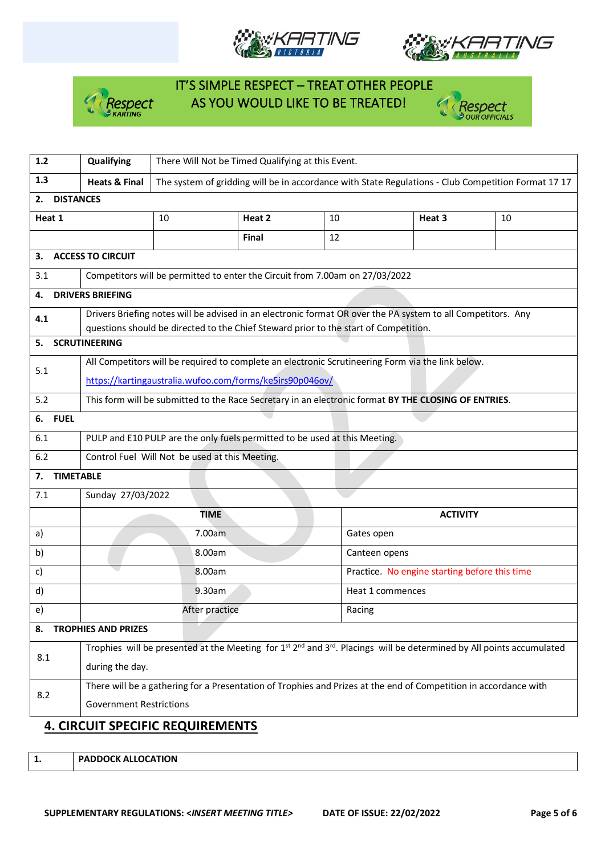







| $1.2$                            | Qualifying                                                                                                                                            | There Will Not be Timed Qualifying at this Event.                                                   |              |    |                                                                                                              |    |  |
|----------------------------------|-------------------------------------------------------------------------------------------------------------------------------------------------------|-----------------------------------------------------------------------------------------------------|--------------|----|--------------------------------------------------------------------------------------------------------------|----|--|
| 1.3                              | <b>Heats &amp; Final</b>                                                                                                                              | The system of gridding will be in accordance with State Regulations - Club Competition Format 17 17 |              |    |                                                                                                              |    |  |
| <b>DISTANCES</b><br>2.           |                                                                                                                                                       |                                                                                                     |              |    |                                                                                                              |    |  |
| Heat 1                           |                                                                                                                                                       | 10                                                                                                  | Heat 2       | 10 | Heat 3                                                                                                       | 10 |  |
|                                  |                                                                                                                                                       |                                                                                                     | <b>Final</b> | 12 |                                                                                                              |    |  |
| 3.                               | <b>ACCESS TO CIRCUIT</b>                                                                                                                              |                                                                                                     |              |    |                                                                                                              |    |  |
| 3.1                              |                                                                                                                                                       | Competitors will be permitted to enter the Circuit from 7.00am on 27/03/2022                        |              |    |                                                                                                              |    |  |
| 4.                               | <b>DRIVERS BRIEFING</b>                                                                                                                               |                                                                                                     |              |    |                                                                                                              |    |  |
| 4.1                              |                                                                                                                                                       | questions should be directed to the Chief Steward prior to the start of Competition.                |              |    | Drivers Briefing notes will be advised in an electronic format OR over the PA system to all Competitors. Any |    |  |
| 5.                               | <b>SCRUTINEERING</b>                                                                                                                                  |                                                                                                     |              |    |                                                                                                              |    |  |
|                                  | All Competitors will be required to complete an electronic Scrutineering Form via the link below.                                                     |                                                                                                     |              |    |                                                                                                              |    |  |
| 5.1                              | https://kartingaustralia.wufoo.com/forms/ke5irs90p046ov/                                                                                              |                                                                                                     |              |    |                                                                                                              |    |  |
| 5.2                              |                                                                                                                                                       |                                                                                                     |              |    | This form will be submitted to the Race Secretary in an electronic format BY THE CLOSING OF ENTRIES.         |    |  |
| <b>FUEL</b><br>6.                |                                                                                                                                                       |                                                                                                     |              |    |                                                                                                              |    |  |
| 6.1                              | PULP and E10 PULP are the only fuels permitted to be used at this Meeting.                                                                            |                                                                                                     |              |    |                                                                                                              |    |  |
| 6.2                              | Control Fuel Will Not be used at this Meeting.                                                                                                        |                                                                                                     |              |    |                                                                                                              |    |  |
| 7.                               | <b>TIMETABLE</b>                                                                                                                                      |                                                                                                     |              |    |                                                                                                              |    |  |
| 7.1                              | Sunday 27/03/2022                                                                                                                                     |                                                                                                     |              |    |                                                                                                              |    |  |
|                                  | <b>TIME</b><br><b>ACTIVITY</b>                                                                                                                        |                                                                                                     |              |    |                                                                                                              |    |  |
| a)                               | 7.00am<br>Gates open                                                                                                                                  |                                                                                                     |              |    |                                                                                                              |    |  |
| b)                               | 8.00am<br>Canteen opens                                                                                                                               |                                                                                                     |              |    |                                                                                                              |    |  |
| c)                               | 8.00am                                                                                                                                                |                                                                                                     |              |    | Practice. No engine starting before this time                                                                |    |  |
| d)                               | 9.30am<br>Heat 1 commences                                                                                                                            |                                                                                                     |              |    |                                                                                                              |    |  |
| e)                               | After practice<br>Racing                                                                                                                              |                                                                                                     |              |    |                                                                                                              |    |  |
| <b>TROPHIES AND PRIZES</b><br>8. |                                                                                                                                                       |                                                                                                     |              |    |                                                                                                              |    |  |
| 8.1                              | Trophies will be presented at the Meeting for $1^{st} 2^{nd}$ and $3^{rd}$ . Placings will be determined by All points accumulated<br>during the day. |                                                                                                     |              |    |                                                                                                              |    |  |
|                                  | There will be a gathering for a Presentation of Trophies and Prizes at the end of Competition in accordance with                                      |                                                                                                     |              |    |                                                                                                              |    |  |
| 8.2                              | <b>Government Restrictions</b>                                                                                                                        |                                                                                                     |              |    |                                                                                                              |    |  |
|                                  | <b>4. CIRCUIT SPECIFIC REQUIREMENTS</b>                                                                                                               |                                                                                                     |              |    |                                                                                                              |    |  |

**1. PADDOCK ALLOCATION**